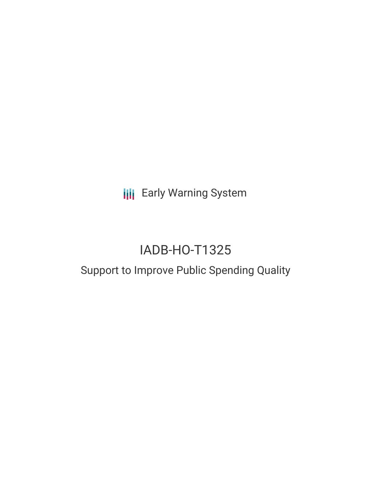**III** Early Warning System

# IADB-HO-T1325

## Support to Improve Public Spending Quality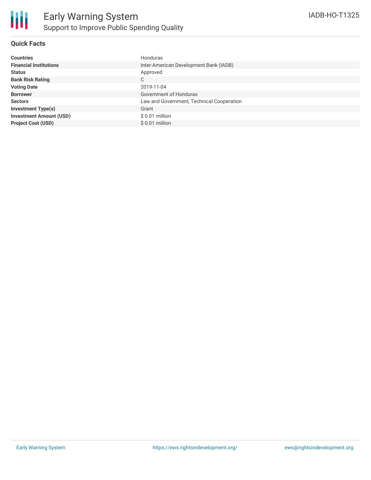

### **Quick Facts**

| <b>Countries</b>               | Honduras                                  |
|--------------------------------|-------------------------------------------|
| <b>Financial Institutions</b>  | Inter-American Development Bank (IADB)    |
| <b>Status</b>                  | Approved                                  |
| <b>Bank Risk Rating</b>        | C                                         |
| <b>Voting Date</b>             | 2019-11-04                                |
| <b>Borrower</b>                | Government of Honduras                    |
| <b>Sectors</b>                 | Law and Government, Technical Cooperation |
| <b>Investment Type(s)</b>      | Grant                                     |
| <b>Investment Amount (USD)</b> | $$0.01$ million                           |
| <b>Project Cost (USD)</b>      | $$0.01$ million                           |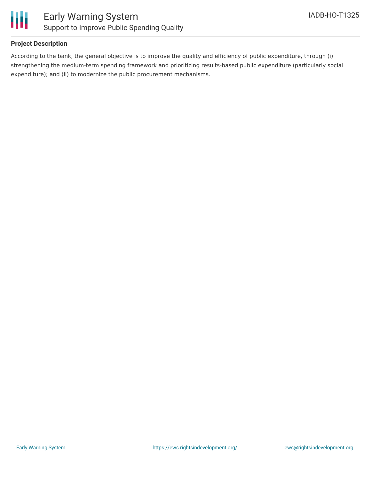

### **Project Description**

According to the bank, the general objective is to improve the quality and efficiency of public expenditure, through (i) strengthening the medium-term spending framework and prioritizing results-based public expenditure (particularly social expenditure); and (ii) to modernize the public procurement mechanisms.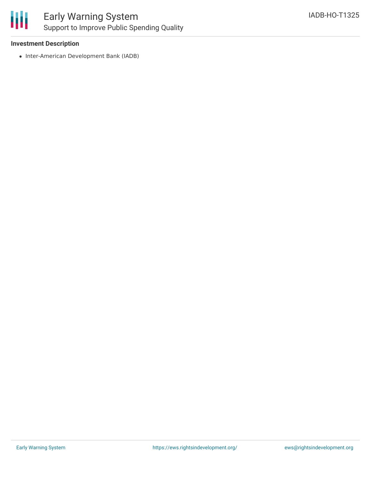

### Early Warning System Support to Improve Public Spending Quality

### **Investment Description**

• Inter-American Development Bank (IADB)